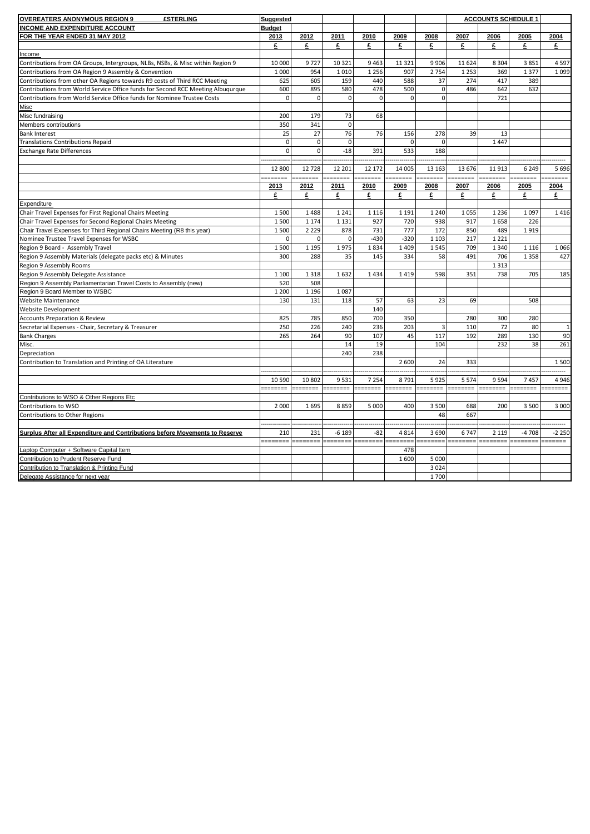| <b>OVEREATERS ANONYMOUS REGION 9</b><br><b>£STERLING</b>                        | Suggested     |             |              |             |             |                |          | <b>ACCOUNTS SCHEDULE 1</b> |          |              |
|---------------------------------------------------------------------------------|---------------|-------------|--------------|-------------|-------------|----------------|----------|----------------------------|----------|--------------|
| <b>INCOME AND EXPENDITURE ACCOUNT</b>                                           | <b>Budget</b> |             |              |             |             |                |          |                            |          |              |
| FOR THE YEAR ENDED 31 MAY 2012                                                  | 2013          | 2012        | 2011         | 2010        | 2009        | 2008           | 2007     | 2006                       | 2005     | 2004         |
|                                                                                 | £             | £           | £            | £           | £           | £              | £        | £                          | £        | £            |
| Income                                                                          |               |             |              |             |             |                |          |                            |          |              |
| Contributions from OA Groups, Intergroups, NLBs, NSBs, & Misc within Region 9   | 10 000        | 9727        | 10 3 21      | 9463        | 11 3 21     | 9 9 0 6        | 11 624   | 8 3 0 4                    | 3851     | 4597         |
| Contributions from OA Region 9 Assembly & Convention                            | 1 0 0 0       | 954         | 1010         | 1 2 5 6     | 907         | 2 7 5 4        | 1 2 5 3  | 369                        | 1 3 7 7  | 1099         |
| Contributions from other OA Regions towards R9 costs of Third RCC Meeting       | 625           | 605         | 159          | 440         | 588         | 37             | 274      | 417                        | 389      |              |
| Contributions from World Service Office funds for Second RCC Meeting Albuqurque | 600           | 895         | 580          | 478         | 500         | $\overline{0}$ | 486      | 642                        | 632      |              |
| Contributions from World Service Office funds for Nominee Trustee Costs         | $\mathbf 0$   | $\mathbf 0$ | $\mathbf{0}$ | $\mathbf 0$ | $\Omega$    | $\Omega$       |          | 721                        |          |              |
| Misc                                                                            |               |             |              |             |             |                |          |                            |          |              |
| Misc fundraising                                                                | 200           | 179         | 73           | 68          |             |                |          |                            |          |              |
| Members contributions                                                           | 350           | 341         | $\mathbf{0}$ |             |             |                |          |                            |          |              |
| <b>Bank Interest</b>                                                            | 25            | 27          | 76           | 76          | 156         | 278            | 39       | 13                         |          |              |
| <b>Translations Contributions Repaid</b>                                        | $\mathbf 0$   | $\pmb{0}$   | $\mathbf{0}$ |             | $\mathbf 0$ | $\mathbf{0}$   |          | 1447                       |          |              |
| <b>Exchange Rate Differences</b>                                                | $\Omega$      | $\mathbf 0$ | $-18$        | 391         | 533         | 188            |          |                            |          |              |
|                                                                                 |               |             |              |             |             |                |          |                            |          |              |
|                                                                                 | 12 800        | 12 728      | 12 201       | 12 172      | 14 005      | 13 16 3        | 13 676   | 11913                      | 6 2 4 9  | 5696         |
|                                                                                 | --------      | =======     | .            | =======     | =======     | =======        | =======  | =======                    | -------  | =======      |
|                                                                                 | 2013          | 2012        | 2011         | 2010        | 2009        | 2008           | 2007     | 2006                       | 2005     | 2004         |
|                                                                                 | £             | £           | £            | £           | £           | £              | £        | £                          | £        | £            |
| Expenditure                                                                     |               |             |              |             |             |                |          |                            |          |              |
| Chair Travel Expenses for First Regional Chairs Meeting                         | 1500          | 1488        | 1 2 4 1      | 1 1 1 6     | 1 1 9 1     | 1 2 4 0        | 1055     | 1 2 3 6                    | 1 0 9 7  | 1416         |
| Chair Travel Expenses for Second Regional Chairs Meeting                        | 1500          | 1 1 7 4     | 1 1 3 1      | 927         | 720         | 938            | 917      | 1658                       | 226      |              |
| Chair Travel Expenses for Third Regional Chairs Meeting (R8 this year)          | 1500          | 2 2 2 9     | 878          | 731         | 777         | 172            | 850      | 489                        | 1919     |              |
| Nominee Trustee Travel Expenses for WSBC                                        | $\mathbf 0$   | $\mathbf 0$ | $\mathbf{0}$ | $-430$      | $-320$      | 1 1 0 3        | 217      | 1 2 2 1                    |          |              |
| Region 9 Board - Assembly Travel                                                | 1500          | 1 1 9 5     | 1975         | 1834        | 1 4 0 9     | 1545           | 709      | 1 3 4 0                    | 1 1 1 6  | 1066         |
| Region 9 Assembly Materials (delegate packs etc) & Minutes                      | 300           | 288         | 35           | 145         | 334         | 58             | 491      | 706                        | 1 3 5 8  | 427          |
| Region 9 Assembly Rooms                                                         |               |             |              |             |             |                |          | 1 3 1 3                    |          |              |
| Region 9 Assembly Delegate Assistance                                           | 1 1 0 0       | 1 3 1 8     | 1632         | 1434        | 1419        | 598            | 351      | 738                        | 705      | 185          |
| Region 9 Assembly Parliamentarian Travel Costs to Assembly (new)                | 520           | 508         |              |             |             |                |          |                            |          |              |
| Region 9 Board Member to WSBC                                                   | 1 2 0 0       | 1 1 9 6     | 1087         |             |             |                |          |                            |          |              |
| <b>Website Maintenance</b>                                                      | 130           | 131         | 118          | 57          | 63          | 23             | 69       |                            | 508      |              |
| <b>Website Development</b>                                                      |               |             |              | 140         |             |                |          |                            |          |              |
| <b>Accounts Preparation &amp; Review</b>                                        | 825           | 785         | 850          | 700         | 350         |                | 280      | 300                        | 280      |              |
| Secretarial Expenses - Chair, Secretary & Treasurer                             | 250           | 226         | 240          | 236         | 203         | $\overline{3}$ | 110      | 72                         | 80       | $\mathbf{1}$ |
| <b>Bank Charges</b>                                                             | 265           | 264         | 90           | 107         | 45          | 117            | 192      | 289                        | 130      | 90           |
| Misc.                                                                           |               |             | 14           | 19          |             | 104            |          | 232                        | 38       | 261          |
| Depreciation                                                                    |               |             | 240          | 238         |             |                |          |                            |          |              |
| Contribution to Translation and Printing of OA Literature                       |               |             |              |             | 2 600       | 24             | 333      |                            |          | 1500         |
|                                                                                 |               |             |              |             |             |                |          |                            |          |              |
|                                                                                 | 10 590        | 10 802      | 9531         | 7 2 5 4     | 8791        | 5925           | 5 5 7 4  | 9594                       | 7457     | 4946         |
|                                                                                 | ---------     | -------     | ========     | ========    | ========    | --------       | -------- | ========                   | -------- | -------      |
| Contributions to WSO & Other Regions Etc                                        |               |             |              |             |             |                |          |                            |          |              |
| Contributions to WSO                                                            | 2 0 0 0       | 1695        | 8859         | 5 0 0 0     | 400         | 3 500          | 688      | 200                        | 3 500    | 3 0 0 0      |
| Contributions to Other Regions                                                  |               |             |              |             |             | 48             | 667      |                            |          |              |
|                                                                                 |               |             |              |             |             |                |          |                            |          |              |
| Surplus After all Expenditure and Contributions before Movements to Reserve     | 210           | 231         | $-6189$      | $-82$       | 4 8 1 4     | 3 6 9 0        | 6747     | 2 1 1 9                    | $-4708$  | $-2250$      |
|                                                                                 | -------       |             |              | =======     |             | =======        | =======  | .                          |          | ======       |
| Laptop Computer + Software Capital Item                                         |               |             |              |             | 478         |                |          |                            |          |              |
| Contribution to Prudent Reserve Fund                                            |               |             |              |             | 1600        | 5 0 0 0        |          |                            |          |              |
| Contribution to Translation & Printing Fund                                     |               |             |              |             |             | 3 0 2 4        |          |                            |          |              |
| Delegate Assistance for next year                                               |               |             |              |             |             | 1700           |          |                            |          |              |
|                                                                                 |               |             |              |             |             |                |          |                            |          |              |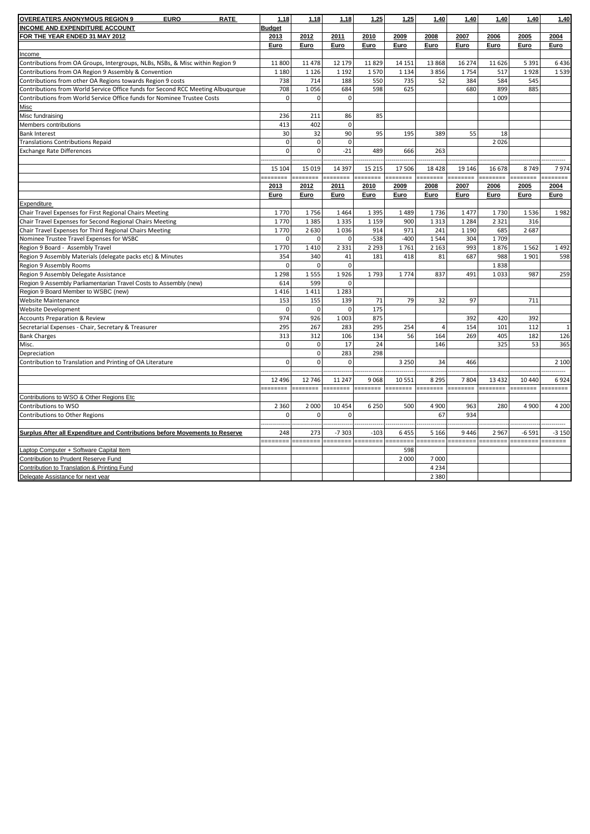| <b>OVEREATERS ANONYMOUS REGION 9</b><br><b>EURO</b><br><b>RATE</b>                                                                                         | 1,18                | 1,18                | 1,18               | 1,25     | 1,25     | 1,40           | 1,40     | 1,40           | 1,40     | 1,40         |
|------------------------------------------------------------------------------------------------------------------------------------------------------------|---------------------|---------------------|--------------------|----------|----------|----------------|----------|----------------|----------|--------------|
| <b>INCOME AND EXPENDITURE ACCOUNT</b>                                                                                                                      | <b>Budget</b>       |                     |                    |          |          |                |          |                |          |              |
| FOR THE YEAR ENDED 31 MAY 2012                                                                                                                             | 2013                | 2012                | 2011               | 2010     | 2009     | 2008           | 2007     | 2006           | 2005     | 2004         |
|                                                                                                                                                            | Euro                | Euro                | Euro               | Euro     | Euro     | Euro           | Euro     | Euro           | Euro     | Euro         |
| Income                                                                                                                                                     |                     |                     |                    |          |          |                |          |                |          |              |
| Contributions from OA Groups, Intergroups, NLBs, NSBs, & Misc within Region 9                                                                              | 11 800              | 11 478              | 12 179             | 11829    | 14 15 1  | 13 8 68        | 16 274   | 11 6 26        | 5 3 9 1  | 6436         |
| Contributions from OA Region 9 Assembly & Convention                                                                                                       | 1 1 8 0             | 1 1 2 6             | 1 1 9 2            | 1570     | 1 1 3 4  | 3856           | 1754     | 517            | 1928     | 1539         |
| Contributions from other OA Regions towards Region 9 costs                                                                                                 | 738                 | 714                 | 188                | 550      | 735      | 52             | 384      | 584            | 545      |              |
|                                                                                                                                                            | 708                 |                     |                    | 598      | 625      |                | 680      |                | 885      |              |
| Contributions from World Service Office funds for Second RCC Meeting Albuqurque<br>Contributions from World Service Office funds for Nominee Trustee Costs | $\mathbf 0$         | 1056<br>$\mathbf 0$ | 684<br>$\mathbf 0$ |          |          |                |          | 899<br>1 0 0 9 |          |              |
|                                                                                                                                                            |                     |                     |                    |          |          |                |          |                |          |              |
| Misc                                                                                                                                                       |                     |                     |                    | 85       |          |                |          |                |          |              |
| Misc fundraising                                                                                                                                           | 236                 | 211                 | 86<br>$\Omega$     |          |          |                |          |                |          |              |
| Members contributions                                                                                                                                      | 413                 | 402                 |                    |          |          |                |          |                |          |              |
| <b>Bank Interest</b>                                                                                                                                       | 30                  | 32                  | 90                 | 95       | 195      | 389            | 55       | 18             |          |              |
| <b>Translations Contributions Repaid</b>                                                                                                                   | $\mathbf 0$         | $\mathbf 0$         | $\mathbf 0$        |          |          |                |          | 2026           |          |              |
| <b>Exchange Rate Differences</b>                                                                                                                           | $\mathbf{0}$        | $\mathbf 0$         | $-21$              | 489      | 666      | 263            |          |                |          |              |
|                                                                                                                                                            |                     |                     |                    |          |          |                |          |                |          |              |
|                                                                                                                                                            | 15 104              | 15 0 19             | 14 3 9 7           | 15 2 15  | 17 506   | 18 4 28        | 19 14 6  | 16 678         | 8749     | 7974         |
|                                                                                                                                                            | eessess             | -------             | =======            | 1000000  | :======= | =======        | -------- | =======        | :======= | =======      |
|                                                                                                                                                            | 2013                | 2012                | 2011               | 2010     | 2009     | 2008           | 2007     | 2006           | 2005     | 2004         |
|                                                                                                                                                            | Euro                | <u>Euro</u>         | Euro               | Euro     | Euro     | Euro           | Euro     | Euro           | Euro     | <u>Euro</u>  |
| Expenditure                                                                                                                                                |                     |                     |                    |          |          |                |          |                |          |              |
| Chair Travel Expenses for First Regional Chairs Meeting                                                                                                    | 1770                | 1756                | 1464               | 1 3 9 5  | 1489     | 1736           | 1477     | 1730           | 1536     | 1982         |
| Chair Travel Expenses for Second Regional Chairs Meeting                                                                                                   | 1770                | 1 3 8 5             | 1 3 3 5            | 1 1 5 9  | 900      | 1 3 1 3        | 1 2 8 4  | 2 3 2 1        | 316      |              |
| Chair Travel Expenses for Third Regional Chairs Meeting                                                                                                    | 1770                | 2 6 3 0             | 1036               | 914      | 971      | 241            | 1 1 9 0  | 685            | 2 6 8 7  |              |
| Nominee Trustee Travel Expenses for WSBC                                                                                                                   | $\mathbf{0}$        | $\mathbf 0$         | $\mathbf 0$        | $-538$   | $-400$   | 1544           | 304      | 1709           |          |              |
| Region 9 Board - Assembly Travel                                                                                                                           | 1770                | 1410                | 2 3 3 1            | 2 2 9 3  | 1761     | 2 1 6 3        | 993      | 1876           | 1562     | 1492         |
| Region 9 Assembly Materials (delegate packs etc) & Minutes                                                                                                 | 354                 | 340                 | 41                 | 181      | 418      | 81             | 687      | 988            | 1901     | 598          |
| Region 9 Assembly Rooms                                                                                                                                    | $\mathbf 0$         | $\mathbf 0$         | $\mathbf 0$        |          |          |                |          | 1838           |          |              |
| Region 9 Assembly Delegate Assistance                                                                                                                      | 1 2 9 8             | 1 5 5 5             | 1926               | 1793     | 1774     | 837            | 491      | 1033           | 987      | 259          |
| Region 9 Assembly Parliamentarian Travel Costs to Assembly (new)                                                                                           | 614                 | 599                 | $\mathbf{0}$       |          |          |                |          |                |          |              |
| Region 9 Board Member to WSBC (new)                                                                                                                        | 1416                | 1411                | 1 2 8 3            |          |          |                |          |                |          |              |
| Website Maintenance                                                                                                                                        | 153                 | 155                 | 139                | 71       | 79       | 32             | 97       |                | 711      |              |
| <b>Website Development</b>                                                                                                                                 | $\mathsf{O}\xspace$ | $\mathbf 0$         | $\mathbf 0$        | 175      |          |                |          |                |          |              |
| <b>Accounts Preparation &amp; Review</b>                                                                                                                   | 974                 | 926                 | 1 0 0 3            | 875      |          |                | 392      | 420            | 392      |              |
| Secretarial Expenses - Chair, Secretary & Treasurer                                                                                                        | 295                 | 267                 | 283                | 295      | 254      | $\overline{4}$ | 154      | 101            | 112      | $\mathbf{1}$ |
| <b>Bank Charges</b>                                                                                                                                        | 313                 | 312                 | 106                | 134      | 56       | 164            | 269      | 405            | 182      | 126          |
| Misc.                                                                                                                                                      | $\mathbf{0}$        | $\mathbf 0$         | 17                 | 24       |          | 146            |          | 325            | 53       | 365          |
| Depreciation                                                                                                                                               |                     | $\mathbf 0$         | 283                | 298      |          |                |          |                |          |              |
| Contribution to Translation and Printing of OA Literature                                                                                                  | $\mathbf 0$         | $\mathbf 0$         | $\Omega$           |          | 3 2 5 0  | 34             | 466      |                |          | 2 100        |
|                                                                                                                                                            |                     |                     |                    |          |          |                |          |                |          |              |
|                                                                                                                                                            | 12 4 9 6            | 12 746              | 11 247             | 9068     | 10 551   | 8 2 9 5        | 7804     | 13 4 32        | 10 440   | 6924         |
|                                                                                                                                                            | --------            | ========            | --------           | ======== | ======== | -------        | ======== | .              | -------- | ========     |
| Contributions to WSO & Other Regions Etc                                                                                                                   |                     |                     |                    |          |          |                |          |                |          |              |
| Contributions to WSO                                                                                                                                       | 2 3 6 0             | 2 0 0 0             | 10 4 5 4           | 6 2 5 0  | 500      | 4 900          | 963      | 280            | 4 9 0 0  | 4 200        |
| Contributions to Other Regions                                                                                                                             | $\mathbf{0}$        | $\mathbf 0$         | 0                  |          |          | 67             | 934      |                |          |              |
|                                                                                                                                                            |                     |                     |                    |          |          |                |          |                |          |              |
| Surplus After all Expenditure and Contributions before Movements to Reserve                                                                                | 248                 | 273                 | $-7303$            | $-103$   | 6 4 5 5  | 5 1 6 6        | 9 4 4 6  | 2 9 6 7        | $-6591$  | $-3150$      |
|                                                                                                                                                            | ======              |                     |                    | -------  |          | =======        | ======== | --------       |          | ======       |
| Laptop Computer + Software Capital Item                                                                                                                    |                     |                     |                    |          | 598      |                |          |                |          |              |
| <b>Contribution to Prudent Reserve Fund</b>                                                                                                                |                     |                     |                    |          | 2 0 0 0  | 7 000          |          |                |          |              |
| Contribution to Translation & Printing Fund                                                                                                                |                     |                     |                    |          |          | 4 2 3 4        |          |                |          |              |
| Delegate Assistance for next year                                                                                                                          |                     |                     |                    |          |          | 2 3 8 0        |          |                |          |              |
|                                                                                                                                                            |                     |                     |                    |          |          |                |          |                |          |              |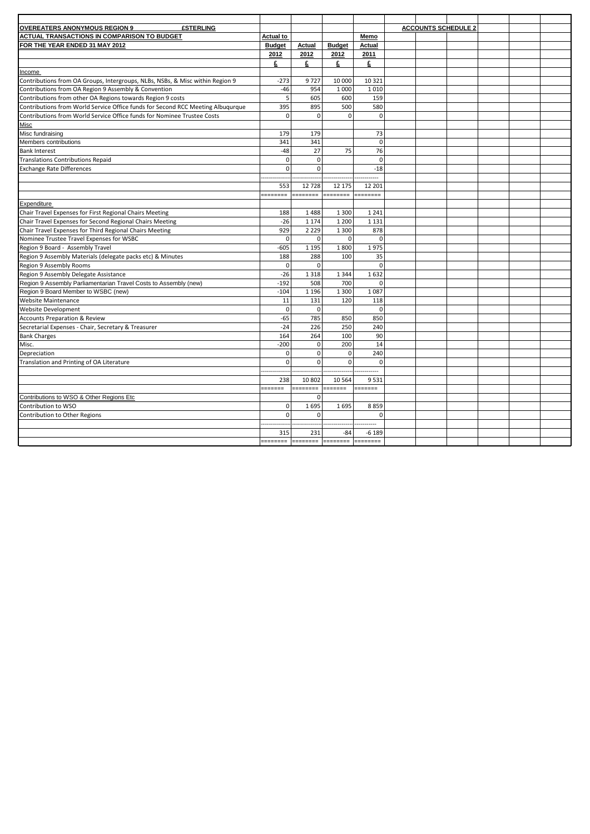| <b>OVEREATERS ANONYMOUS REGION 9</b><br><b>£STERLING</b>                        |                  |                |                |             | <b>ACCOUNTS SCHEDULE 2</b> |  |  |
|---------------------------------------------------------------------------------|------------------|----------------|----------------|-------------|----------------------------|--|--|
| <b>ACTUAL TRANSACTIONS IN COMPARISON TO BUDGET</b>                              | <b>Actual to</b> |                |                | Memo        |                            |  |  |
| FOR THE YEAR ENDED 31 MAY 2012                                                  | <b>Budget</b>    | Actual         | <b>Budget</b>  | Actual      |                            |  |  |
|                                                                                 | 2012             | 2012           | 2012           | 2011        |                            |  |  |
|                                                                                 | £                | £              | £              | £           |                            |  |  |
| Income                                                                          |                  |                |                |             |                            |  |  |
| Contributions from OA Groups, Intergroups, NLBs, NSBs, & Misc within Region 9   | $-273$           | 9727           | 10 000         | 10 3 21     |                            |  |  |
| Contributions from OA Region 9 Assembly & Convention                            | $-46$            | 954            | 1 0 0 0        | 1010        |                            |  |  |
| Contributions from other OA Regions towards Region 9 costs                      | 5                | 605            | 600            | 159         |                            |  |  |
| Contributions from World Service Office funds for Second RCC Meeting Albuqurque | 395              | 895            | 500            | 580         |                            |  |  |
| Contributions from World Service Office funds for Nominee Trustee Costs         | $\Omega$         | $\mathbf 0$    | $\Omega$       | $\mathbf 0$ |                            |  |  |
| <b>Misc</b>                                                                     |                  |                |                |             |                            |  |  |
| Misc fundraising                                                                | 179              | 179            |                | 73          |                            |  |  |
| Members contributions                                                           | 341              | 341            |                | $\mathbf 0$ |                            |  |  |
| <b>Bank Interest</b>                                                            | $-48$            | 27             | 75             | 76          |                            |  |  |
| <b>Translations Contributions Repaid</b>                                        | $\mathbf 0$      | $\mathbf 0$    |                | $\mathbf 0$ |                            |  |  |
| <b>Exchange Rate Differences</b>                                                | $\Omega$         | $\overline{0}$ |                | $-18$       |                            |  |  |
|                                                                                 |                  |                |                |             |                            |  |  |
|                                                                                 | 553              | 12 728         | 12 175         | 12 201      |                            |  |  |
|                                                                                 | .                | =======        | --------       | ========    |                            |  |  |
| Expenditure                                                                     |                  |                |                |             |                            |  |  |
| Chair Travel Expenses for First Regional Chairs Meeting                         | 188              | 1488           | 1 3 0 0        | 1 2 4 1     |                            |  |  |
| Chair Travel Expenses for Second Regional Chairs Meeting                        | $-26$            | 1 1 7 4        | 1 2 0 0        | 1 1 3 1     |                            |  |  |
| Chair Travel Expenses for Third Regional Chairs Meeting                         | 929              | 2 2 2 9        | 1 3 0 0        | 878         |                            |  |  |
| Nominee Trustee Travel Expenses for WSBC                                        | $\Omega$         | $\mathbf 0$    | $\mathbf 0$    | $\mathbf 0$ |                            |  |  |
| Region 9 Board - Assembly Travel                                                | $-605$           | 1 1 9 5        | 1800           | 1975        |                            |  |  |
| Region 9 Assembly Materials (delegate packs etc) & Minutes                      | 188              | 288            | 100            | 35          |                            |  |  |
| Region 9 Assembly Rooms                                                         | $\Omega$         | $\Omega$       |                | $\mathbf 0$ |                            |  |  |
| Region 9 Assembly Delegate Assistance                                           | $-26$            | 1 3 1 8        | 1 3 4 4        | 1632        |                            |  |  |
| Region 9 Assembly Parliamentarian Travel Costs to Assembly (new)                | $-192$           | 508            | 700            | 0           |                            |  |  |
| Region 9 Board Member to WSBC (new)                                             | $-104$           | 1 1 9 6        | 1 3 0 0        | 1087        |                            |  |  |
| <b>Website Maintenance</b>                                                      | 11               | 131            | 120            | 118         |                            |  |  |
| <b>Website Development</b>                                                      | $\mathbf 0$      | $\mathbf 0$    |                | $\mathbf 0$ |                            |  |  |
| <b>Accounts Preparation &amp; Review</b>                                        | $-65$            | 785            | 850            | 850         |                            |  |  |
| Secretarial Expenses - Chair, Secretary & Treasurer                             | $-24$            | 226            | 250            | 240         |                            |  |  |
| <b>Bank Charges</b>                                                             | 164              | 264            | 100            | 90          |                            |  |  |
| Misc.                                                                           | $-200$           | $\mathbf{0}$   | 200            | 14          |                            |  |  |
| Depreciation                                                                    | $\mathbf{0}$     | $\mathbf{0}$   | $\overline{0}$ | 240         |                            |  |  |
| Translation and Printing of OA Literature                                       | $\Omega$         | $\Omega$       | $\Omega$       | $\mathbf 0$ |                            |  |  |
|                                                                                 |                  |                |                |             |                            |  |  |
|                                                                                 | 238              | 10 802         | 10 5 64        | 9531        |                            |  |  |
|                                                                                 | -------          |                | eeeeee         | =======     |                            |  |  |
| Contributions to WSO & Other Regions Etc                                        |                  | $\mathbf 0$    |                |             |                            |  |  |
| Contribution to WSO                                                             | $\mathbf 0$      | 1695           | 1695           | 8859        |                            |  |  |
| Contribution to Other Regions                                                   | $\Omega$         | $\overline{0}$ |                | $\mathbf 0$ |                            |  |  |
|                                                                                 |                  |                |                |             |                            |  |  |
|                                                                                 | 315              | 231            | -84            | $-6189$     |                            |  |  |
|                                                                                 | --------         | -------        | --------       | ========    |                            |  |  |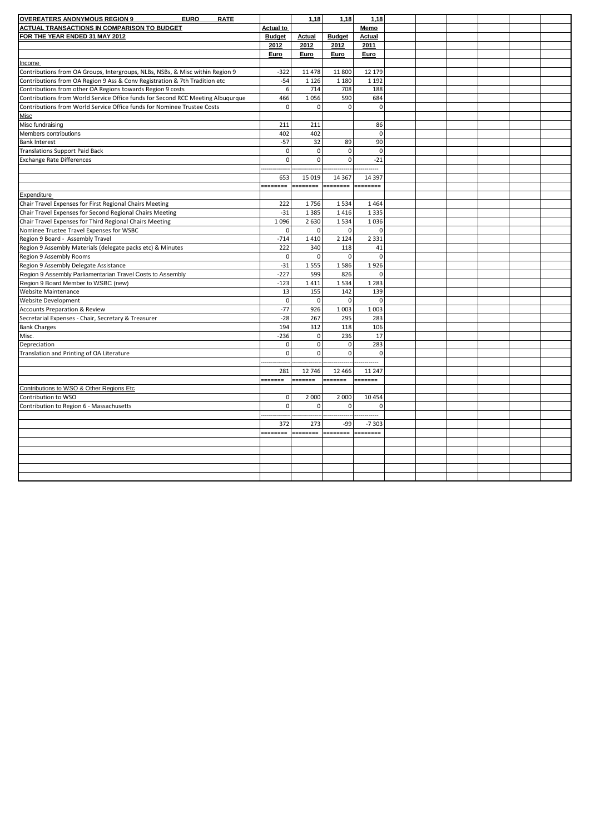| <b>OVEREATERS ANONYMOUS REGION 9</b><br><b>ACTUAL TRANSACTIONS IN COMPARISON TO BUDGET</b><br><b>Actual to</b><br>Memo<br>FOR THE YEAR ENDED 31 MAY 2012<br><b>Budget</b><br><b>Budget</b><br><b>Actual</b><br><b>Actual</b><br>2012<br>2012<br>2012<br>2011<br>Euro<br><b>Euro</b><br><b>Euro</b><br>Euro<br>Income<br>Contributions from OA Groups, Intergroups, NLBs, NSBs, & Misc within Region 9<br>$-322$<br>11 4 78<br>11 800<br>12 179<br>Contributions from OA Region 9 Ass & Conv Registration & 7th Tradition etc<br>$-54$<br>1 1 2 6<br>1 1 8 0<br>1 1 9 2<br>6<br>Contributions from other OA Regions towards Region 9 costs<br>714<br>708<br>188<br>Contributions from World Service Office funds for Second RCC Meeting Albuqurque<br>466<br>1056<br>590<br>684<br>Contributions from World Service Office funds for Nominee Trustee Costs<br>$\Omega$<br>$\mathbf 0$<br>$\Omega$<br>$\mathbf 0$<br><b>Misc</b><br>211<br>Misc fundraising<br>211<br>86<br>Members contributions<br>402<br>402<br>$\mathbf 0$<br>$-57$<br>32<br>90<br><b>Bank Interest</b><br>89<br>$\circ$<br>$\mathbf 0$<br>$\mathbf 0$<br>$\mathbf 0$<br><b>Translations Support Paid Back</b><br>$\mathbf 0$<br>$\Omega$<br>$\mathbf{0}$<br>$-21$<br><b>Exchange Rate Differences</b><br>653<br>15 0 19<br>14 3 67<br>14 3 9 7<br>--------<br>--------<br>========<br>--------<br>Expenditure<br>Chair Travel Expenses for First Regional Chairs Meeting<br>222<br>1756<br>1534<br>1464<br>Chair Travel Expenses for Second Regional Chairs Meeting<br>$-31$<br>1 3 8 5<br>1 3 3 5<br>1416<br>1096<br>Chair Travel Expenses for Third Regional Chairs Meeting<br>2 6 3 0<br>1534<br>1036<br>Nominee Trustee Travel Expenses for WSBC<br>$\mathbf 0$<br>$\mathbf{0}$<br>$\mathbf 0$<br>$\pmb{0}$<br>$-714$<br>1410<br>2 1 2 4<br>2 3 3 1<br>Region 9 Board - Assembly Travel<br>Region 9 Assembly Materials (delegate packs etc) & Minutes<br>222<br>340<br>118<br>41<br>$\mathbf 0$<br>$\mathbf 0$<br>$\mathbf 0$<br>$\mathbf 0$<br>Region 9 Assembly Rooms<br>$-31$<br>1555<br>1586<br>1926<br>Region 9 Assembly Delegate Assistance<br>Region 9 Assembly Parliamentarian Travel Costs to Assembly<br>$-227$<br>599<br>826<br>$\mathbf 0$<br>$-123$<br>1411<br>1534<br>Region 9 Board Member to WSBC (new)<br>1 2 8 3<br>13<br>155<br>142<br>139<br><b>Website Maintenance</b> |
|--------------------------------------------------------------------------------------------------------------------------------------------------------------------------------------------------------------------------------------------------------------------------------------------------------------------------------------------------------------------------------------------------------------------------------------------------------------------------------------------------------------------------------------------------------------------------------------------------------------------------------------------------------------------------------------------------------------------------------------------------------------------------------------------------------------------------------------------------------------------------------------------------------------------------------------------------------------------------------------------------------------------------------------------------------------------------------------------------------------------------------------------------------------------------------------------------------------------------------------------------------------------------------------------------------------------------------------------------------------------------------------------------------------------------------------------------------------------------------------------------------------------------------------------------------------------------------------------------------------------------------------------------------------------------------------------------------------------------------------------------------------------------------------------------------------------------------------------------------------------------------------------------------------------------------------------------------------------------------------------------------------------------------------------------------------------------------------------------------------------------------------------------------------------------------------------------------------------------------------------------------------------------------------------------------------------------------------------------------------------|
|                                                                                                                                                                                                                                                                                                                                                                                                                                                                                                                                                                                                                                                                                                                                                                                                                                                                                                                                                                                                                                                                                                                                                                                                                                                                                                                                                                                                                                                                                                                                                                                                                                                                                                                                                                                                                                                                                                                                                                                                                                                                                                                                                                                                                                                                                                                                                                    |
|                                                                                                                                                                                                                                                                                                                                                                                                                                                                                                                                                                                                                                                                                                                                                                                                                                                                                                                                                                                                                                                                                                                                                                                                                                                                                                                                                                                                                                                                                                                                                                                                                                                                                                                                                                                                                                                                                                                                                                                                                                                                                                                                                                                                                                                                                                                                                                    |
|                                                                                                                                                                                                                                                                                                                                                                                                                                                                                                                                                                                                                                                                                                                                                                                                                                                                                                                                                                                                                                                                                                                                                                                                                                                                                                                                                                                                                                                                                                                                                                                                                                                                                                                                                                                                                                                                                                                                                                                                                                                                                                                                                                                                                                                                                                                                                                    |
|                                                                                                                                                                                                                                                                                                                                                                                                                                                                                                                                                                                                                                                                                                                                                                                                                                                                                                                                                                                                                                                                                                                                                                                                                                                                                                                                                                                                                                                                                                                                                                                                                                                                                                                                                                                                                                                                                                                                                                                                                                                                                                                                                                                                                                                                                                                                                                    |
|                                                                                                                                                                                                                                                                                                                                                                                                                                                                                                                                                                                                                                                                                                                                                                                                                                                                                                                                                                                                                                                                                                                                                                                                                                                                                                                                                                                                                                                                                                                                                                                                                                                                                                                                                                                                                                                                                                                                                                                                                                                                                                                                                                                                                                                                                                                                                                    |
|                                                                                                                                                                                                                                                                                                                                                                                                                                                                                                                                                                                                                                                                                                                                                                                                                                                                                                                                                                                                                                                                                                                                                                                                                                                                                                                                                                                                                                                                                                                                                                                                                                                                                                                                                                                                                                                                                                                                                                                                                                                                                                                                                                                                                                                                                                                                                                    |
|                                                                                                                                                                                                                                                                                                                                                                                                                                                                                                                                                                                                                                                                                                                                                                                                                                                                                                                                                                                                                                                                                                                                                                                                                                                                                                                                                                                                                                                                                                                                                                                                                                                                                                                                                                                                                                                                                                                                                                                                                                                                                                                                                                                                                                                                                                                                                                    |
|                                                                                                                                                                                                                                                                                                                                                                                                                                                                                                                                                                                                                                                                                                                                                                                                                                                                                                                                                                                                                                                                                                                                                                                                                                                                                                                                                                                                                                                                                                                                                                                                                                                                                                                                                                                                                                                                                                                                                                                                                                                                                                                                                                                                                                                                                                                                                                    |
|                                                                                                                                                                                                                                                                                                                                                                                                                                                                                                                                                                                                                                                                                                                                                                                                                                                                                                                                                                                                                                                                                                                                                                                                                                                                                                                                                                                                                                                                                                                                                                                                                                                                                                                                                                                                                                                                                                                                                                                                                                                                                                                                                                                                                                                                                                                                                                    |
|                                                                                                                                                                                                                                                                                                                                                                                                                                                                                                                                                                                                                                                                                                                                                                                                                                                                                                                                                                                                                                                                                                                                                                                                                                                                                                                                                                                                                                                                                                                                                                                                                                                                                                                                                                                                                                                                                                                                                                                                                                                                                                                                                                                                                                                                                                                                                                    |
|                                                                                                                                                                                                                                                                                                                                                                                                                                                                                                                                                                                                                                                                                                                                                                                                                                                                                                                                                                                                                                                                                                                                                                                                                                                                                                                                                                                                                                                                                                                                                                                                                                                                                                                                                                                                                                                                                                                                                                                                                                                                                                                                                                                                                                                                                                                                                                    |
|                                                                                                                                                                                                                                                                                                                                                                                                                                                                                                                                                                                                                                                                                                                                                                                                                                                                                                                                                                                                                                                                                                                                                                                                                                                                                                                                                                                                                                                                                                                                                                                                                                                                                                                                                                                                                                                                                                                                                                                                                                                                                                                                                                                                                                                                                                                                                                    |
|                                                                                                                                                                                                                                                                                                                                                                                                                                                                                                                                                                                                                                                                                                                                                                                                                                                                                                                                                                                                                                                                                                                                                                                                                                                                                                                                                                                                                                                                                                                                                                                                                                                                                                                                                                                                                                                                                                                                                                                                                                                                                                                                                                                                                                                                                                                                                                    |
|                                                                                                                                                                                                                                                                                                                                                                                                                                                                                                                                                                                                                                                                                                                                                                                                                                                                                                                                                                                                                                                                                                                                                                                                                                                                                                                                                                                                                                                                                                                                                                                                                                                                                                                                                                                                                                                                                                                                                                                                                                                                                                                                                                                                                                                                                                                                                                    |
|                                                                                                                                                                                                                                                                                                                                                                                                                                                                                                                                                                                                                                                                                                                                                                                                                                                                                                                                                                                                                                                                                                                                                                                                                                                                                                                                                                                                                                                                                                                                                                                                                                                                                                                                                                                                                                                                                                                                                                                                                                                                                                                                                                                                                                                                                                                                                                    |
|                                                                                                                                                                                                                                                                                                                                                                                                                                                                                                                                                                                                                                                                                                                                                                                                                                                                                                                                                                                                                                                                                                                                                                                                                                                                                                                                                                                                                                                                                                                                                                                                                                                                                                                                                                                                                                                                                                                                                                                                                                                                                                                                                                                                                                                                                                                                                                    |
|                                                                                                                                                                                                                                                                                                                                                                                                                                                                                                                                                                                                                                                                                                                                                                                                                                                                                                                                                                                                                                                                                                                                                                                                                                                                                                                                                                                                                                                                                                                                                                                                                                                                                                                                                                                                                                                                                                                                                                                                                                                                                                                                                                                                                                                                                                                                                                    |
|                                                                                                                                                                                                                                                                                                                                                                                                                                                                                                                                                                                                                                                                                                                                                                                                                                                                                                                                                                                                                                                                                                                                                                                                                                                                                                                                                                                                                                                                                                                                                                                                                                                                                                                                                                                                                                                                                                                                                                                                                                                                                                                                                                                                                                                                                                                                                                    |
|                                                                                                                                                                                                                                                                                                                                                                                                                                                                                                                                                                                                                                                                                                                                                                                                                                                                                                                                                                                                                                                                                                                                                                                                                                                                                                                                                                                                                                                                                                                                                                                                                                                                                                                                                                                                                                                                                                                                                                                                                                                                                                                                                                                                                                                                                                                                                                    |
|                                                                                                                                                                                                                                                                                                                                                                                                                                                                                                                                                                                                                                                                                                                                                                                                                                                                                                                                                                                                                                                                                                                                                                                                                                                                                                                                                                                                                                                                                                                                                                                                                                                                                                                                                                                                                                                                                                                                                                                                                                                                                                                                                                                                                                                                                                                                                                    |
|                                                                                                                                                                                                                                                                                                                                                                                                                                                                                                                                                                                                                                                                                                                                                                                                                                                                                                                                                                                                                                                                                                                                                                                                                                                                                                                                                                                                                                                                                                                                                                                                                                                                                                                                                                                                                                                                                                                                                                                                                                                                                                                                                                                                                                                                                                                                                                    |
|                                                                                                                                                                                                                                                                                                                                                                                                                                                                                                                                                                                                                                                                                                                                                                                                                                                                                                                                                                                                                                                                                                                                                                                                                                                                                                                                                                                                                                                                                                                                                                                                                                                                                                                                                                                                                                                                                                                                                                                                                                                                                                                                                                                                                                                                                                                                                                    |
|                                                                                                                                                                                                                                                                                                                                                                                                                                                                                                                                                                                                                                                                                                                                                                                                                                                                                                                                                                                                                                                                                                                                                                                                                                                                                                                                                                                                                                                                                                                                                                                                                                                                                                                                                                                                                                                                                                                                                                                                                                                                                                                                                                                                                                                                                                                                                                    |
|                                                                                                                                                                                                                                                                                                                                                                                                                                                                                                                                                                                                                                                                                                                                                                                                                                                                                                                                                                                                                                                                                                                                                                                                                                                                                                                                                                                                                                                                                                                                                                                                                                                                                                                                                                                                                                                                                                                                                                                                                                                                                                                                                                                                                                                                                                                                                                    |
|                                                                                                                                                                                                                                                                                                                                                                                                                                                                                                                                                                                                                                                                                                                                                                                                                                                                                                                                                                                                                                                                                                                                                                                                                                                                                                                                                                                                                                                                                                                                                                                                                                                                                                                                                                                                                                                                                                                                                                                                                                                                                                                                                                                                                                                                                                                                                                    |
|                                                                                                                                                                                                                                                                                                                                                                                                                                                                                                                                                                                                                                                                                                                                                                                                                                                                                                                                                                                                                                                                                                                                                                                                                                                                                                                                                                                                                                                                                                                                                                                                                                                                                                                                                                                                                                                                                                                                                                                                                                                                                                                                                                                                                                                                                                                                                                    |
|                                                                                                                                                                                                                                                                                                                                                                                                                                                                                                                                                                                                                                                                                                                                                                                                                                                                                                                                                                                                                                                                                                                                                                                                                                                                                                                                                                                                                                                                                                                                                                                                                                                                                                                                                                                                                                                                                                                                                                                                                                                                                                                                                                                                                                                                                                                                                                    |
|                                                                                                                                                                                                                                                                                                                                                                                                                                                                                                                                                                                                                                                                                                                                                                                                                                                                                                                                                                                                                                                                                                                                                                                                                                                                                                                                                                                                                                                                                                                                                                                                                                                                                                                                                                                                                                                                                                                                                                                                                                                                                                                                                                                                                                                                                                                                                                    |
|                                                                                                                                                                                                                                                                                                                                                                                                                                                                                                                                                                                                                                                                                                                                                                                                                                                                                                                                                                                                                                                                                                                                                                                                                                                                                                                                                                                                                                                                                                                                                                                                                                                                                                                                                                                                                                                                                                                                                                                                                                                                                                                                                                                                                                                                                                                                                                    |
|                                                                                                                                                                                                                                                                                                                                                                                                                                                                                                                                                                                                                                                                                                                                                                                                                                                                                                                                                                                                                                                                                                                                                                                                                                                                                                                                                                                                                                                                                                                                                                                                                                                                                                                                                                                                                                                                                                                                                                                                                                                                                                                                                                                                                                                                                                                                                                    |
|                                                                                                                                                                                                                                                                                                                                                                                                                                                                                                                                                                                                                                                                                                                                                                                                                                                                                                                                                                                                                                                                                                                                                                                                                                                                                                                                                                                                                                                                                                                                                                                                                                                                                                                                                                                                                                                                                                                                                                                                                                                                                                                                                                                                                                                                                                                                                                    |
| $\Omega$<br>$\mathbf 0$<br>$\Omega$<br>$\mathbf 0$<br><b>Website Development</b>                                                                                                                                                                                                                                                                                                                                                                                                                                                                                                                                                                                                                                                                                                                                                                                                                                                                                                                                                                                                                                                                                                                                                                                                                                                                                                                                                                                                                                                                                                                                                                                                                                                                                                                                                                                                                                                                                                                                                                                                                                                                                                                                                                                                                                                                                   |
| $-77$<br>926<br>1 0 0 3<br>1 0 0 3<br><b>Accounts Preparation &amp; Review</b>                                                                                                                                                                                                                                                                                                                                                                                                                                                                                                                                                                                                                                                                                                                                                                                                                                                                                                                                                                                                                                                                                                                                                                                                                                                                                                                                                                                                                                                                                                                                                                                                                                                                                                                                                                                                                                                                                                                                                                                                                                                                                                                                                                                                                                                                                     |
| Secretarial Expenses - Chair, Secretary & Treasurer<br>$-28$<br>267<br>295<br>283                                                                                                                                                                                                                                                                                                                                                                                                                                                                                                                                                                                                                                                                                                                                                                                                                                                                                                                                                                                                                                                                                                                                                                                                                                                                                                                                                                                                                                                                                                                                                                                                                                                                                                                                                                                                                                                                                                                                                                                                                                                                                                                                                                                                                                                                                  |
| 194<br>312<br>118<br>106<br><b>Bank Charges</b>                                                                                                                                                                                                                                                                                                                                                                                                                                                                                                                                                                                                                                                                                                                                                                                                                                                                                                                                                                                                                                                                                                                                                                                                                                                                                                                                                                                                                                                                                                                                                                                                                                                                                                                                                                                                                                                                                                                                                                                                                                                                                                                                                                                                                                                                                                                    |
| $-236$<br>$\pmb{0}$<br>236<br>17<br>Misc.                                                                                                                                                                                                                                                                                                                                                                                                                                                                                                                                                                                                                                                                                                                                                                                                                                                                                                                                                                                                                                                                                                                                                                                                                                                                                                                                                                                                                                                                                                                                                                                                                                                                                                                                                                                                                                                                                                                                                                                                                                                                                                                                                                                                                                                                                                                          |
| $\mathbf 0$<br>$\mathbf 0$<br>$\Omega$<br>283<br>Depreciation                                                                                                                                                                                                                                                                                                                                                                                                                                                                                                                                                                                                                                                                                                                                                                                                                                                                                                                                                                                                                                                                                                                                                                                                                                                                                                                                                                                                                                                                                                                                                                                                                                                                                                                                                                                                                                                                                                                                                                                                                                                                                                                                                                                                                                                                                                      |
| $\Omega$<br>$\mathbf 0$<br>Translation and Printing of OA Literature<br>$\mathbf 0$<br>0                                                                                                                                                                                                                                                                                                                                                                                                                                                                                                                                                                                                                                                                                                                                                                                                                                                                                                                                                                                                                                                                                                                                                                                                                                                                                                                                                                                                                                                                                                                                                                                                                                                                                                                                                                                                                                                                                                                                                                                                                                                                                                                                                                                                                                                                           |
|                                                                                                                                                                                                                                                                                                                                                                                                                                                                                                                                                                                                                                                                                                                                                                                                                                                                                                                                                                                                                                                                                                                                                                                                                                                                                                                                                                                                                                                                                                                                                                                                                                                                                                                                                                                                                                                                                                                                                                                                                                                                                                                                                                                                                                                                                                                                                                    |
| 12 746<br>12 4 66<br>281<br>11 247                                                                                                                                                                                                                                                                                                                                                                                                                                                                                                                                                                                                                                                                                                                                                                                                                                                                                                                                                                                                                                                                                                                                                                                                                                                                                                                                                                                                                                                                                                                                                                                                                                                                                                                                                                                                                                                                                                                                                                                                                                                                                                                                                                                                                                                                                                                                 |
| .<br>=======<br>=======<br>.                                                                                                                                                                                                                                                                                                                                                                                                                                                                                                                                                                                                                                                                                                                                                                                                                                                                                                                                                                                                                                                                                                                                                                                                                                                                                                                                                                                                                                                                                                                                                                                                                                                                                                                                                                                                                                                                                                                                                                                                                                                                                                                                                                                                                                                                                                                                       |
| Contributions to WSO & Other Regions Etc                                                                                                                                                                                                                                                                                                                                                                                                                                                                                                                                                                                                                                                                                                                                                                                                                                                                                                                                                                                                                                                                                                                                                                                                                                                                                                                                                                                                                                                                                                                                                                                                                                                                                                                                                                                                                                                                                                                                                                                                                                                                                                                                                                                                                                                                                                                           |
| $\Omega$<br>2 0 0 0<br>2 0 0 0<br>Contribution to WSO<br>10 4 5 4                                                                                                                                                                                                                                                                                                                                                                                                                                                                                                                                                                                                                                                                                                                                                                                                                                                                                                                                                                                                                                                                                                                                                                                                                                                                                                                                                                                                                                                                                                                                                                                                                                                                                                                                                                                                                                                                                                                                                                                                                                                                                                                                                                                                                                                                                                  |
| $\Omega$<br>Contribution to Region 6 - Massachusetts<br>$\mathbf 0$<br>$\mathbf 0$<br>$\Omega$                                                                                                                                                                                                                                                                                                                                                                                                                                                                                                                                                                                                                                                                                                                                                                                                                                                                                                                                                                                                                                                                                                                                                                                                                                                                                                                                                                                                                                                                                                                                                                                                                                                                                                                                                                                                                                                                                                                                                                                                                                                                                                                                                                                                                                                                     |
|                                                                                                                                                                                                                                                                                                                                                                                                                                                                                                                                                                                                                                                                                                                                                                                                                                                                                                                                                                                                                                                                                                                                                                                                                                                                                                                                                                                                                                                                                                                                                                                                                                                                                                                                                                                                                                                                                                                                                                                                                                                                                                                                                                                                                                                                                                                                                                    |
| 372<br>273<br>$-99$<br>$-7303$                                                                                                                                                                                                                                                                                                                                                                                                                                                                                                                                                                                                                                                                                                                                                                                                                                                                                                                                                                                                                                                                                                                                                                                                                                                                                                                                                                                                                                                                                                                                                                                                                                                                                                                                                                                                                                                                                                                                                                                                                                                                                                                                                                                                                                                                                                                                     |
| :=======<br>========<br>========<br>========                                                                                                                                                                                                                                                                                                                                                                                                                                                                                                                                                                                                                                                                                                                                                                                                                                                                                                                                                                                                                                                                                                                                                                                                                                                                                                                                                                                                                                                                                                                                                                                                                                                                                                                                                                                                                                                                                                                                                                                                                                                                                                                                                                                                                                                                                                                       |
|                                                                                                                                                                                                                                                                                                                                                                                                                                                                                                                                                                                                                                                                                                                                                                                                                                                                                                                                                                                                                                                                                                                                                                                                                                                                                                                                                                                                                                                                                                                                                                                                                                                                                                                                                                                                                                                                                                                                                                                                                                                                                                                                                                                                                                                                                                                                                                    |
|                                                                                                                                                                                                                                                                                                                                                                                                                                                                                                                                                                                                                                                                                                                                                                                                                                                                                                                                                                                                                                                                                                                                                                                                                                                                                                                                                                                                                                                                                                                                                                                                                                                                                                                                                                                                                                                                                                                                                                                                                                                                                                                                                                                                                                                                                                                                                                    |
|                                                                                                                                                                                                                                                                                                                                                                                                                                                                                                                                                                                                                                                                                                                                                                                                                                                                                                                                                                                                                                                                                                                                                                                                                                                                                                                                                                                                                                                                                                                                                                                                                                                                                                                                                                                                                                                                                                                                                                                                                                                                                                                                                                                                                                                                                                                                                                    |
|                                                                                                                                                                                                                                                                                                                                                                                                                                                                                                                                                                                                                                                                                                                                                                                                                                                                                                                                                                                                                                                                                                                                                                                                                                                                                                                                                                                                                                                                                                                                                                                                                                                                                                                                                                                                                                                                                                                                                                                                                                                                                                                                                                                                                                                                                                                                                                    |
|                                                                                                                                                                                                                                                                                                                                                                                                                                                                                                                                                                                                                                                                                                                                                                                                                                                                                                                                                                                                                                                                                                                                                                                                                                                                                                                                                                                                                                                                                                                                                                                                                                                                                                                                                                                                                                                                                                                                                                                                                                                                                                                                                                                                                                                                                                                                                                    |